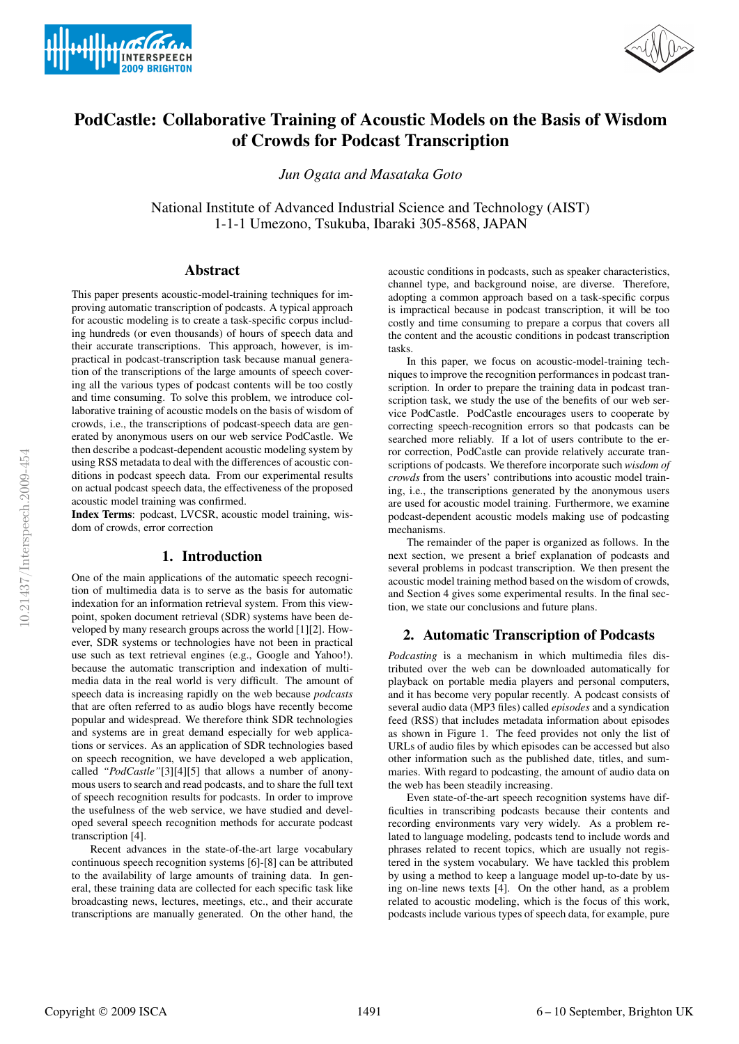



# PodCastle: Collaborative Training of Acoustic Models on the Basis of Wisdom of Crowds for Podcast Transcription

*Jun Ogata and Masataka Goto*

National Institute of Advanced Industrial Science and Technology (AIST) 1-1-1 Umezono, Tsukuba, Ibaraki 305-8568, JAPAN

## Abstract

This paper presents acoustic-model-training techniques for improving automatic transcription of podcasts. A typical approach for acoustic modeling is to create a task-specific corpus including hundreds (or even thousands) of hours of speech data and their accurate transcriptions. This approach, however, is impractical in podcast-transcription task because manual generation of the transcriptions of the large amounts of speech covering all the various types of podcast contents will be too costly and time consuming. To solve this problem, we introduce collaborative training of acoustic models on the basis of wisdom of crowds, i.e., the transcriptions of podcast-speech data are generated by anonymous users on our web service PodCastle. We then describe a podcast-dependent acoustic modeling system by using RSS metadata to deal with the differences of acoustic conditions in podcast speech data. From our experimental results on actual podcast speech data, the effectiveness of the proposed acoustic model training was confirmed.

Index Terms: podcast, LVCSR, acoustic model training, wisdom of crowds, error correction

# 1. Introduction

One of the main applications of the automatic speech recognition of multimedia data is to serve as the basis for automatic indexation for an information retrieval system. From this viewpoint, spoken document retrieval (SDR) systems have been developed by many research groups across the world [1][2]. However, SDR systems or technologies have not been in practical use such as text retrieval engines (e.g., Google and Yahoo!). because the automatic transcription and indexation of multimedia data in the real world is very difficult. The amount of speech data is increasing rapidly on the web because *podcasts* that are often referred to as audio blogs have recently become popular and widespread. We therefore think SDR technologies and systems are in great demand especially for web applications or services. As an application of SDR technologies based on speech recognition, we have developed a web application, called *"PodCastle"*[3][4][5] that allows a number of anonymous users to search and read podcasts, and to share the full text of speech recognition results for podcasts. In order to improve the usefulness of the web service, we have studied and developed several speech recognition methods for accurate podcast transcription [4].

Recent advances in the state-of-the-art large vocabulary continuous speech recognition systems [6]-[8] can be attributed to the availability of large amounts of training data. In general, these training data are collected for each specific task like broadcasting news, lectures, meetings, etc., and their accurate transcriptions are manually generated. On the other hand, the acoustic conditions in podcasts, such as speaker characteristics, channel type, and background noise, are diverse. Therefore, adopting a common approach based on a task-specific corpus is impractical because in podcast transcription, it will be too costly and time consuming to prepare a corpus that covers all the content and the acoustic conditions in podcast transcription tasks.

In this paper, we focus on acoustic-model-training techniques to improve the recognition performances in podcast transcription. In order to prepare the training data in podcast transcription task, we study the use of the benefits of our web service PodCastle. PodCastle encourages users to cooperate by correcting speech-recognition errors so that podcasts can be searched more reliably. If a lot of users contribute to the error correction, PodCastle can provide relatively accurate transcriptions of podcasts. We therefore incorporate such *wisdom of crowds* from the users' contributions into acoustic model training, i.e., the transcriptions generated by the anonymous users are used for acoustic model training. Furthermore, we examine podcast-dependent acoustic models making use of podcasting mechanisms.

The remainder of the paper is organized as follows. In the next section, we present a brief explanation of podcasts and several problems in podcast transcription. We then present the acoustic model training method based on the wisdom of crowds, and Section 4 gives some experimental results. In the final section, we state our conclusions and future plans.

# 2. Automatic Transcription of Podcasts

*Podcasting* is a mechanism in which multimedia files distributed over the web can be downloaded automatically for playback on portable media players and personal computers, and it has become very popular recently. A podcast consists of several audio data (MP3 files) called *episodes* and a syndication feed (RSS) that includes metadata information about episodes as shown in Figure 1. The feed provides not only the list of URLs of audio files by which episodes can be accessed but also other information such as the published date, titles, and summaries. With regard to podcasting, the amount of audio data on the web has been steadily increasing.

Even state-of-the-art speech recognition systems have difficulties in transcribing podcasts because their contents and recording environments vary very widely. As a problem related to language modeling, podcasts tend to include words and phrases related to recent topics, which are usually not registered in the system vocabulary. We have tackled this problem by using a method to keep a language model up-to-date by using on-line news texts [4]. On the other hand, as a problem related to acoustic modeling, which is the focus of this work, podcasts include various types of speech data, for example, pure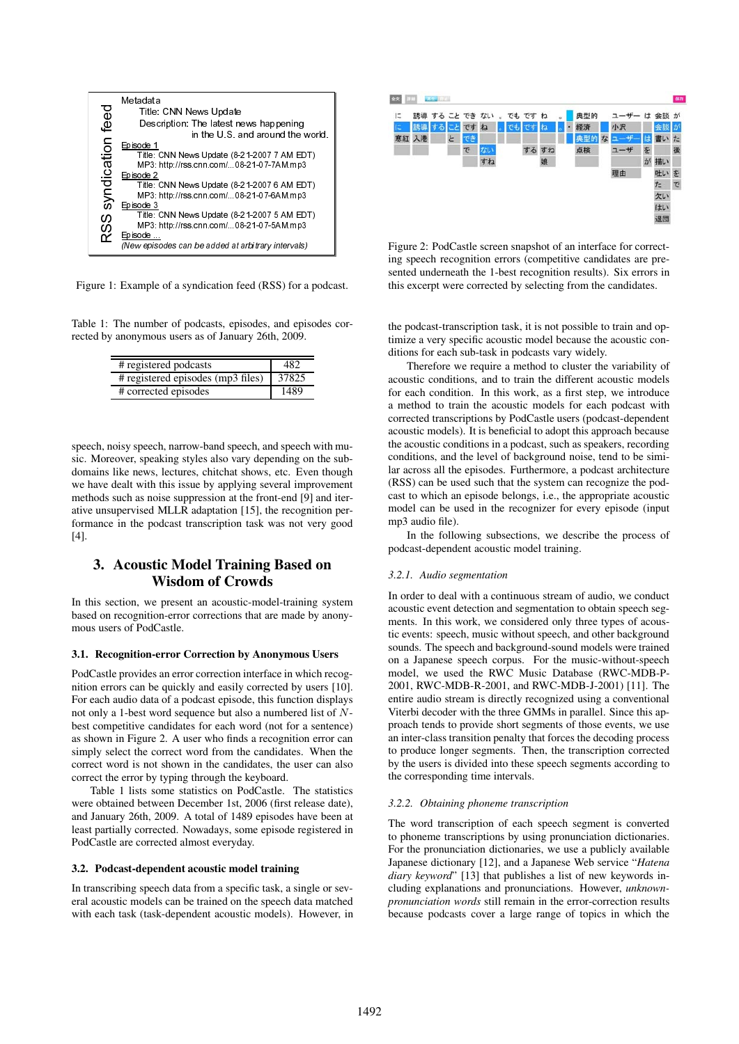

Figure 1: Example of a syndication feed (RSS) for a podcast.

Table 1: The number of podcasts, episodes, and episodes corrected by anonymous users as of January 26th, 2009.

| # registered podcasts             | 482   |
|-----------------------------------|-------|
| # registered episodes (mp3 files) | 37825 |
| # corrected episodes              | 1489  |

speech, noisy speech, narrow-band speech, and speech with music. Moreover, speaking styles also vary depending on the subdomains like news, lectures, chitchat shows, etc. Even though we have dealt with this issue by applying several improvement methods such as noise suppression at the front-end [9] and iterative unsupervised MLLR adaptation [15], the recognition performance in the podcast transcription task was not very good [4].

# 3. Acoustic Model Training Based on Wisdom of Crowds

In this section, we present an acoustic-model-training system based on recognition-error corrections that are made by anonymous users of PodCastle.

#### 3.1. Recognition-error Correction by Anonymous Users

Title:<br>
International Title:<br>
Episode 2<br>
Title:<br>
MP3:<br>
Episode 2<br>
Title:<br>
MP3:<br>
Episode 2<br>
Title:<br>
MP3:<br>
Episode 3<br>
Title:<br>
MP3:<br>
Episode 3<br>
Title:<br>
MP3:<br>
Episode 3<br>
Citle:<br>
(New episode 2<br>
Citles:<br>
Citles:<br>
Example<br>
Read MP3 http://ss.cnn.com/...08-21-07-7AM mp3<br>
MP3 MP3 http://ss.cnn.com/...08-21-07-7AM mp3<br>
Title: CNN News Update (8-21-2007 6 AM EDT)<br>
Title: CNN News Update (8-21-2007 6 AM EDT)<br>
MP3 http://ss.cnn.com/...08-21-07-5AM mp3<br> de 2<br>
Title CNN News Update (8-21-2007 6 AM ED<br>
Title CNN News Update (8-21-2007 6 AM ED<br>
MP3: http://rss.cnn.com/...08-21-07-6AM.mp3<br>
MP3: http://rss.cnn.com/...08-21-07-6AM.mp3<br>
MP3: http://rss.cnn.com/...08-21-07-5AM.mp Title:<br>
The Episode 3<br>
Episode 2<br>
The Episode 2<br>
The The University<br>
The Episode 2<br>
MP3:<br>
Episode 2<br>
MP3:<br>
Example<br>
MP3:<br>
Example<br>
MP3:<br>
Example<br>
Example<br>
Example<br>
Example<br>
Example<br>
Figure 2<br>
Example<br>
Figure 2<br>
Figure 2<br>
T MP3 http://ss.cnn.com/..08-21-07-6AM mp3<br>
MP3 http://ss.cnn.com/..08-21-07-6AM mp3<br>
dde.3<br>
dde.3<br>
dde.3<br>
dde.1<br>
Title: CNN News Update (8-21-207-5 AM EDT)<br>
MP3 http://ss.cnn.com/...08-21-07-5AM mp3<br>
org/sodes.cnn be.added **ode<sup>3</sup>**<br>
Tile CNN News Update (8-21-2007 5 AM ED<br>
Tile CNN News Update (8-21-2007 5 AM ED<br>
MP3: http://rss.cnn.com/...08-21-07-5AM.mp3<br>
MP3: http://rss.cnn.com/...08-21-07-5AM.mp3<br>
<u>ode-</u><br>
experiodes can be added at arbit Title:<br>
MP3:<br>
Episode<br>
MP3:<br>
Episode<br>
(New epis<br>
Example<br>
Example<br>
Example<br>
Example<br>
The numb<br>
The pisode<br>
Example<br>
Fregister<br>
Fregister<br>
Fregister<br>
Fregister<br>
Fregister<br>
Fregister<br>
Fregister<br>
The pisode of PodC<br>
Supplemen MP3: http://tss.com.com/..08-21-07-5AM mp3<br>
organization (108-21-07-5AM mp3<br>
organization feed (RSS) for a pumber of polaciation feed (RSS) for a pumber of polaciation feed (RSS) for a pumber of polaciation feed (RSS) for ode....<br>
<u>one, and</u><br>  $\frac{1}{\sqrt{6}}$  and  $\frac{1}{\sqrt{6}}$  and  $\frac{1}{\sqrt{6}}$  and  $\frac{1}{\sqrt{6}}$  and  $\frac{1}{\sqrt{6}}$  and  $\frac{1}{\sqrt{6}}$  and  $\frac{1}{\sqrt{6}}$  and  $\frac{1}{\sqrt{6}}$  and  $\frac{1}{\sqrt{6}}$  and  $\frac{1}{\sqrt{6}}$  and  $\frac{1}{\sqrt{6}}$  and  $\frac{1}{\sqrt{6}}$  a Whew episodes can be added at arbitrary intervals)<br>
: Example of a syndication feed (RSS) for a<br>
The number of podcasts, episodes, and epi<br>
monymous users as of January 26th, 2009.<br>  $\frac{\# \text{ registered products}}{\# \text{ registered products}} = \frac{482}{1489}$ <br>  $\frac{\$ PodCastle provides an error correction interface in which recognition errors can be quickly and easily corrected by users [10]. For each audio data of a podcast episode, this function displays not only a 1-best word sequence but also a numbered list of Nbest competitive candidates for each word (not for a sentence) as shown in Figure 2. A user who finds a recognition error can simply select the correct word from the candidates. When the correct word is not shown in the candidates, the user can also correct the error by typing through the keyboard.

Table 1 lists some statistics on PodCastle. The statistics were obtained between December 1st, 2006 (first release date), and January 26th, 2009. A total of 1489 episodes have been at least partially corrected. Nowadays, some episode registered in PodCastle are corrected almost everyday.

#### 3.2. Podcast-dependent acoustic model training

In transcribing speech data from a specific task, a single or several acoustic models can be trained on the speech data matched with each task (task-dependent acoustic models). However, in



Figure 2: PodCastle screen snapshot of an interface for correcting speech recognition errors (competitive candidates are presented underneath the 1-best recognition results). Six errors in this excerpt were corrected by selecting from the candidates.

the podcast-transcription task, it is not possible to train and optimize a very specific acoustic model because the acoustic conditions for each sub-task in podcasts vary widely.

Therefore we require a method to cluster the variability of acoustic conditions, and to train the different acoustic models for each condition. In this work, as a first step, we introduce a method to train the acoustic models for each podcast with corrected transcriptions by PodCastle users (podcast-dependent acoustic models). It is beneficial to adopt this approach because the acoustic conditions in a podcast, such as speakers, recording conditions, and the level of background noise, tend to be similar across all the episodes. Furthermore, a podcast architecture (RSS) can be used such that the system can recognize the podcast to which an episode belongs, i.e., the appropriate acoustic model can be used in the recognizer for every episode (input mp3 audio file).

In the following subsections, we describe the process of podcast-dependent acoustic model training.

#### *3.2.1. Audio segmentation*

In order to deal with a continuous stream of audio, we conduct acoustic event detection and segmentation to obtain speech segments. In this work, we considered only three types of acoustic events: speech, music without speech, and other background sounds. The speech and background-sound models were trained on a Japanese speech corpus. For the music-without-speech model, we used the RWC Music Database (RWC-MDB-P-2001, RWC-MDB-R-2001, and RWC-MDB-J-2001) [11]. The entire audio stream is directly recognized using a conventional Viterbi decoder with the three GMMs in parallel. Since this approach tends to provide short segments of those events, we use an inter-class transition penalty that forces the decoding process to produce longer segments. Then, the transcription corrected by the users is divided into these speech segments according to the corresponding time intervals.

#### *3.2.2. Obtaining phoneme transcription*

The word transcription of each speech segment is converted to phoneme transcriptions by using pronunciation dictionaries. For the pronunciation dictionaries, we use a publicly available Japanese dictionary [12], and a Japanese Web service "*Hatena diary keyword*" [13] that publishes a list of new keywords including explanations and pronunciations. However, *unknownpronunciation words* still remain in the error-correction results because podcasts cover a large range of topics in which the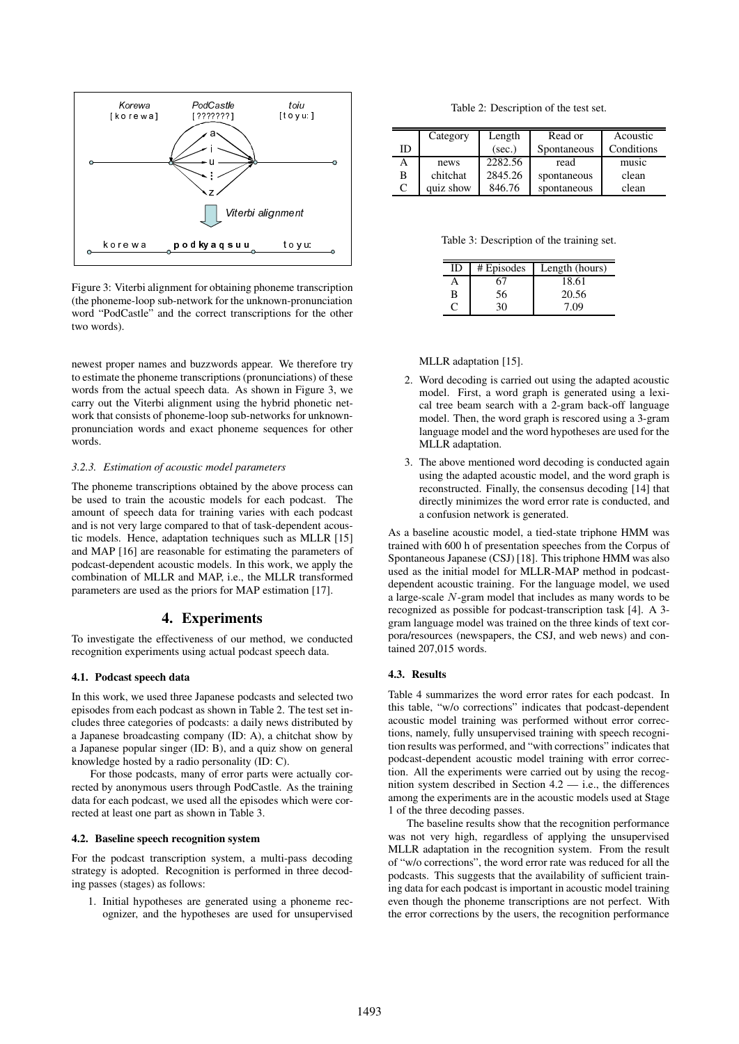

Figure 3: Viterbi alignment for obtaining phoneme transcription (the phoneme-loop sub-network for the unknown-pronunciation word "PodCastle" and the correct transcriptions for the other two words).

newest proper names and buzzwords appear. We therefore try to estimate the phoneme transcriptions (pronunciations) of these words from the actual speech data. As shown in Figure 3, we carry out the Viterbi alignment using the hybrid phonetic network that consists of phoneme-loop sub-networks for unknownpronunciation words and exact phoneme sequences for other words.

#### *3.2.3. Estimation of acoustic model parameters*

**Solution**<br> **Solution**<br> **Solution**<br> **Colution**<br> **Colution**<br> **Colution**<br> **Colution**<br> **Colution**<br> **Colution**<br> **Colution**<br> **Colution**<br> **Colution**<br> **Colution**<br> **Colution**<br> **Colution**<br> **Colution**<br> **Colution**<br> **Colution**<br> **Colut** The phoneme transcriptions obtained by the above process can be used to train the acoustic models for each podcast. The amount of speech data for training varies with each podcast and is not very large compared to that of task-dependent acoustic models. Hence, adaptation techniques such as MLLR [15] and MAP [16] are reasonable for estimating the parameters of podcast-dependent acoustic models. In this work, we apply the combination of MLLR and MAP, i.e., the MLLR transformed parameters are used as the priors for MAP estimation [17].

#### 4. Experiments

To investigate the effectiveness of our method, we conducted recognition experiments using actual podcast speech data.

#### 4.1. Podcast speech data

In this work, we used three Japanese podcasts and selected two episodes from each podcast as shown in Table 2. The test set includes three categories of podcasts: a daily news distributed by a Japanese broadcasting company (ID: A), a chitchat show by a Japanese popular singer (ID: B), and a quiz show on general knowledge hosted by a radio personality (ID: C).

For those podcasts, many of error parts were actually corrected by anonymous users through PodCastle. As the training data for each podcast, we used all the episodes which were corrected at least one part as shown in Table 3.

#### 4.2. Baseline speech recognition system

For the podcast transcription system, a multi-pass decoding strategy is adopted. Recognition is performed in three decoding passes (stages) as follows:

1. Initial hypotheses are generated using a phoneme recognizer, and the hypotheses are used for unsupervised

Table 2: Description of the test set.

| ID | Category  | Length<br>(sec.) | Read or<br>Spontaneous | Acoustic<br>Conditions |
|----|-----------|------------------|------------------------|------------------------|
|    | news      | 2282.56          | read                   | music                  |
| B  | chitchat  | 2845.26          | spontaneous            | clean                  |
| C  | quiz show | 846.76           | spontaneous            | clean                  |

Table 3: Description of the training set.

| II) | # Episodes | Length (hours) |
|-----|------------|----------------|
|     |            | 18.61          |
| B   | 56         | 20.56          |
|     |            | 7.09           |

MLLR adaptation [15].

- 2. Word decoding is carried out using the adapted acoustic model. First, a word graph is generated using a lexical tree beam search with a 2-gram back-off language model. Then, the word graph is rescored using a 3-gram language model and the word hypotheses are used for the MLLR adaptation.
- 3. The above mentioned word decoding is conducted again using the adapted acoustic model, and the word graph is reconstructed. Finally, the consensus decoding [14] that directly minimizes the word error rate is conducted, and a confusion network is generated.

As a baseline acoustic model, a tied-state triphone HMM was trained with 600 h of presentation speeches from the Corpus of Spontaneous Japanese (CSJ) [18]. This triphone HMM was also used as the initial model for MLLR-MAP method in podcastdependent acoustic training. For the language model, we used a large-scale N-gram model that includes as many words to be recognized as possible for podcast-transcription task [4]. A 3 gram language model was trained on the three kinds of text corpora/resources (newspapers, the CSJ, and web news) and contained 207,015 words.

#### 4.3. Results

Table 4 summarizes the word error rates for each podcast. In this table, "w/o corrections" indicates that podcast-dependent acoustic model training was performed without error corrections, namely, fully unsupervised training with speech recognition results was performed, and "with corrections" indicates that podcast-dependent acoustic model training with error correction. All the experiments were carried out by using the recognition system described in Section 4.2 — i.e., the differences among the experiments are in the acoustic models used at Stage 1 of the three decoding passes.

The baseline results show that the recognition performance was not very high, regardless of applying the unsupervised MLLR adaptation in the recognition system. From the result of "w/o corrections", the word error rate was reduced for all the podcasts. This suggests that the availability of sufficient training data for each podcast is important in acoustic model training even though the phoneme transcriptions are not perfect. With the error corrections by the users, the recognition performance